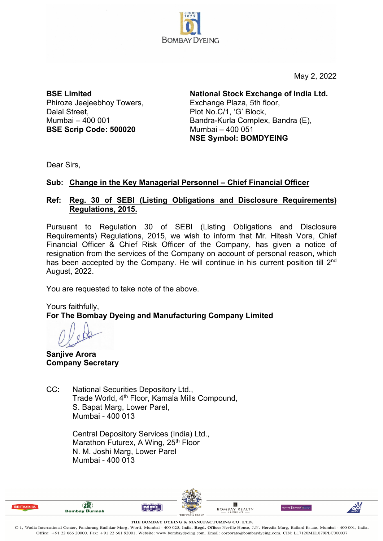

May 2, 2022

**BSE Limited** Phiroze Jeejeebhoy Towers, Dalal Street. Mumbai – 400 001 **BSE Scrip Code: 500020**

**National Stock Exchange of India Ltd.**  Exchange Plaza, 5th floor, Plot No.C/1, 'G' Block, Bandra-Kurla Complex, Bandra (E), Mumbai – 400 051 **NSE Symbol: BOMDYEING**

Dear Sirs,

## **Sub: Change in the Key Managerial Personnel – Chief Financial Officer**

## **Ref: Reg. 30 of SEBI (Listing Obligations and Disclosure Requirements) Regulations, 2015.**

Pursuant to Regulation 30 of SEBI (Listing Obligations and Disclosure Requirements) Regulations, 2015, we wish to inform that Mr. Hitesh Vora, Chief Financial Officer & Chief Risk Officer of the Company, has given a notice of resignation from the services of the Company on account of personal reason, which has been accepted by the Company. He will continue in his current position till 2<sup>nd</sup> August, 2022.

You are requested to take note of the above.

Yours faithfully, **For The Bombay Dyeing and Manufacturing Company Limited**

**Sanjive Arora Company Secretary**

CC: National Securities Depository Ltd., Trade World, 4th Floor, Kamala Mills Compound, S. Bapat Marg, Lower Parel, Mumbai - 400 013

> Central Depository Services (India) Ltd., Marathon Futurex, A Wing, 25<sup>th</sup> Floor N. M. Joshi Marg, Lower Parel Mumbai - 400 013



THE BOMBAY DYEING & MANUFACTURING CO. LTD.

C-1, Wadia International Center, Pandurang Budhkar Marg, Worli, Mumbai - 400 025, India. Regd. Office: Neville House, J.N. Heredia Marg, Ballard Estate, Mumbai - 400 001, India. Office: +91 22 666 20000. Fax: +91 22 661 92001. Website: www.bombaydyeing.com. Email: corporate@bombaydyeing.com. CIN: L17120MH1879PLC000037